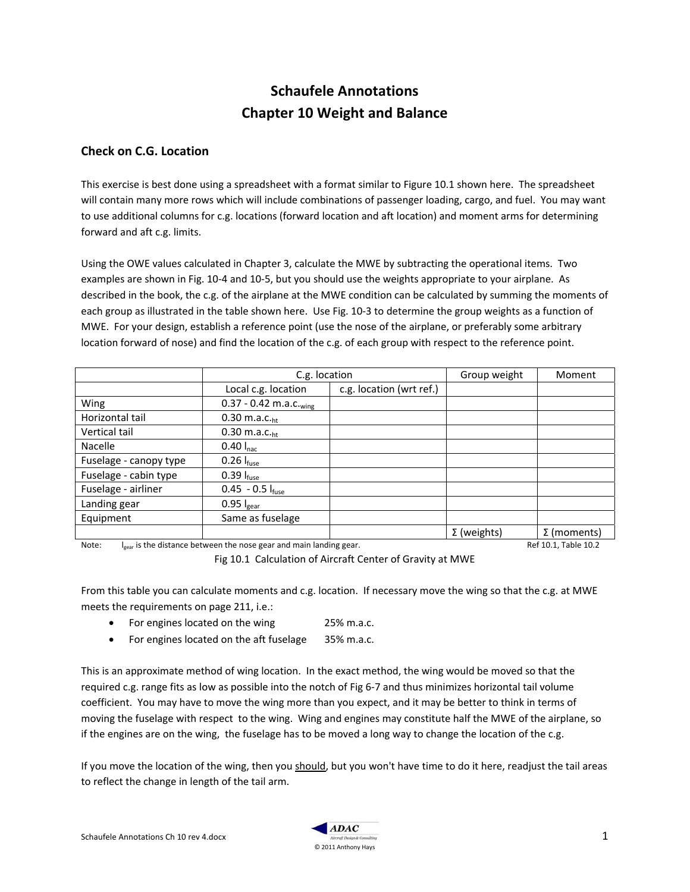## **Schaufele Annotations Chapter 10 Weight and Balance**

## **Check on C.G. Location**

This exercise is best done using a spreadsheet with a format similar to Figure 10.1 shown here. The spreadsheet will contain many more rows which will include combinations of passenger loading, cargo, and fuel. You may want to use additional columns for c.g. locations (forward location and aft location) and moment arms for determining forward and aft c.g. limits.

Using the OWE values calculated in Chapter 3, calculate the MWE by subtracting the operational items. Two examples are shown in Fig. 10-4 and 10-5, but you should use the weights appropriate to your airplane. As described in the book, the c.g. of the airplane at the MWE condition can be calculated by summing the moments of each group as illustrated in the table shown here. Use Fig. 10-3 to determine the group weights as a function of MWE. For your design, establish a reference point (use the nose of the airplane, or preferably some arbitrary location forward of nose) and find the location of the c.g. of each group with respect to the reference point.

|                        | C.g. location                         |                          | Group weight       | Moment             |
|------------------------|---------------------------------------|--------------------------|--------------------|--------------------|
|                        | Local c.g. location                   | c.g. location (wrt ref.) |                    |                    |
| Wing                   | $0.37 - 0.42$ m.a.c. $_{\text{wing}}$ |                          |                    |                    |
| Horizontal tail        | 0.30 m.a.c. $_{\text{ht}}$            |                          |                    |                    |
| Vertical tail          | 0.30 m.a.c. $_{\text{ht}}$            |                          |                    |                    |
| Nacelle                | $0.40 I_{\text{nac}}$                 |                          |                    |                    |
| Fuselage - canopy type | $0.26$ $I_{\text{fuse}}$              |                          |                    |                    |
| Fuselage - cabin type  | $0.39 I_{\text{fuse}}$                |                          |                    |                    |
| Fuselage - airliner    | $0.45 - 0.5$ $I_{\text{fuse}}$        |                          |                    |                    |
| Landing gear           | $0.95$ $I_{\text{gear}}$              |                          |                    |                    |
| Equipment              | Same as fuselage                      |                          |                    |                    |
|                        |                                       |                          | $\Sigma$ (weights) | $\Sigma$ (moments) |

Note:  $I_{\text{gear}}$  is the distance between the nose gear and main landing gear. Ref 10.1, Table 10.2

Fig 10.1 Calculation of Aircraft Center of Gravity at MWE

From this table you can calculate moments and c.g. location. If necessary move the wing so that the c.g. at MWE meets the requirements on page 211, i.e.:

- For engines located on the wing 25% m.a.c.
- For engines located on the aft fuselage 35% m.a.c.

This is an approximate method of wing location. In the exact method, the wing would be moved so that the required c.g. range fits as low as possible into the notch of Fig 6-7 and thus minimizes horizontal tail volume coefficient. You may have to move the wing more than you expect, and it may be better to think in terms of moving the fuselage with respect to the wing. Wing and engines may constitute half the MWE of the airplane, so if the engines are on the wing, the fuselage has to be moved a long way to change the location of the c.g.

If you move the location of the wing, then you should, but you won't have time to do it here, readjust the tail areas to reflect the change in length of the tail arm.

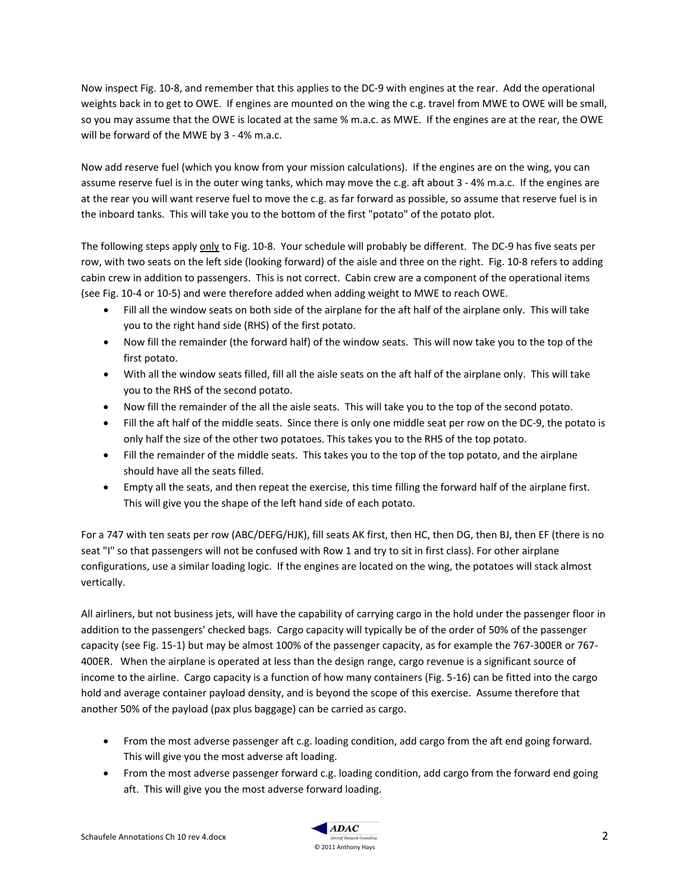Now inspect Fig. 10-8, and remember that this applies to the DC-9 with engines at the rear. Add the operational weights back in to get to OWE. If engines are mounted on the wing the c.g. travel from MWE to OWE will be small, so you may assume that the OWE is located at the same % m.a.c. as MWE. If the engines are at the rear, the OWE will be forward of the MWE by 3 - 4% m.a.c.

Now add reserve fuel (which you know from your mission calculations). If the engines are on the wing, you can assume reserve fuel is in the outer wing tanks, which may move the c.g. aft about 3 - 4% m.a.c. If the engines are at the rear you will want reserve fuel to move the c.g. as far forward as possible, so assume that reserve fuel is in the inboard tanks. This will take you to the bottom of the first "potato" of the potato plot.

The following steps apply only to Fig. 10-8. Your schedule will probably be different. The DC-9 has five seats per row, with two seats on the left side (looking forward) of the aisle and three on the right. Fig. 10-8 refers to adding cabin crew in addition to passengers. This is not correct. Cabin crew are a component of the operational items (see Fig. 10-4 or 10-5) and were therefore added when adding weight to MWE to reach OWE.

- Fill all the window seats on both side of the airplane for the aft half of the airplane only. This will take you to the right hand side (RHS) of the first potato.
- Now fill the remainder (the forward half) of the window seats. This will now take you to the top of the first potato.
- With all the window seats filled, fill all the aisle seats on the aft half of the airplane only. This will take you to the RHS of the second potato.
- Now fill the remainder of the all the aisle seats. This will take you to the top of the second potato.
- Fill the aft half of the middle seats. Since there is only one middle seat per row on the DC-9, the potato is only half the size of the other two potatoes. This takes you to the RHS of the top potato.
- Fill the remainder of the middle seats. This takes you to the top of the top potato, and the airplane should have all the seats filled.
- Empty all the seats, and then repeat the exercise, this time filling the forward half of the airplane first. This will give you the shape of the left hand side of each potato.

For a 747 with ten seats per row (ABC/DEFG/HJK), fill seats AK first, then HC, then DG, then BJ, then EF (there is no seat "I" so that passengers will not be confused with Row 1 and try to sit in first class). For other airplane configurations, use a similar loading logic. If the engines are located on the wing, the potatoes will stack almost vertically.

All airliners, but not business jets, will have the capability of carrying cargo in the hold under the passenger floor in addition to the passengers' checked bags. Cargo capacity will typically be of the order of 50% of the passenger capacity (see Fig. 15-1) but may be almost 100% of the passenger capacity, as for example the 767-300ER or 767- 400ER. When the airplane is operated at less than the design range, cargo revenue is a significant source of income to the airline. Cargo capacity is a function of how many containers (Fig. 5-16) can be fitted into the cargo hold and average container payload density, and is beyond the scope of this exercise. Assume therefore that another 50% of the payload (pax plus baggage) can be carried as cargo.

- From the most adverse passenger aft c.g. loading condition, add cargo from the aft end going forward. This will give you the most adverse aft loading.
- From the most adverse passenger forward c.g. loading condition, add cargo from the forward end going aft. This will give you the most adverse forward loading.

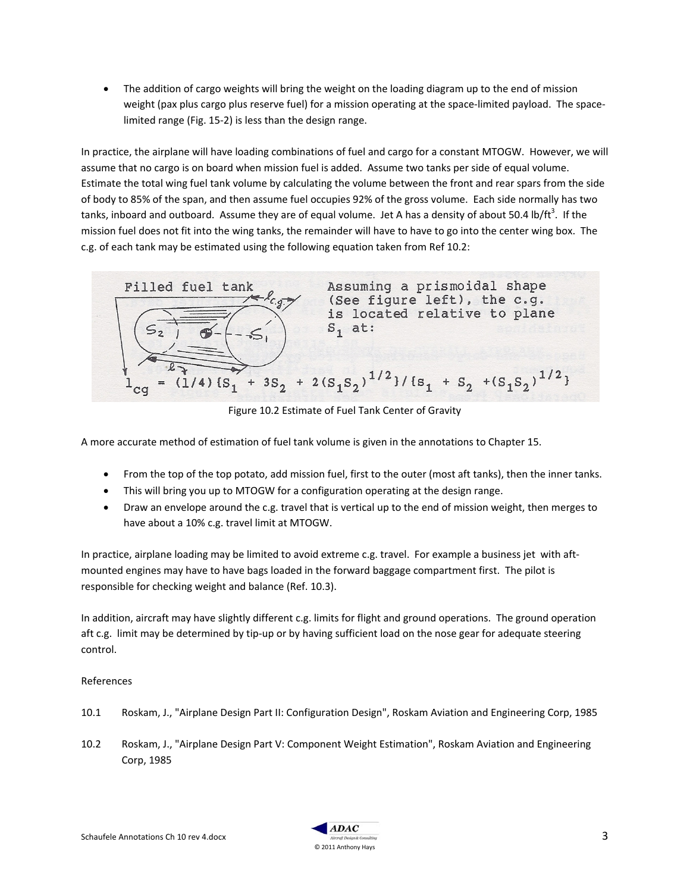The addition of cargo weights will bring the weight on the loading diagram up to the end of mission weight (pax plus cargo plus reserve fuel) for a mission operating at the space-limited payload. The spacelimited range (Fig. 15-2) is less than the design range.

In practice, the airplane will have loading combinations of fuel and cargo for a constant MTOGW. However, we will assume that no cargo is on board when mission fuel is added. Assume two tanks per side of equal volume. Estimate the total wing fuel tank volume by calculating the volume between the front and rear spars from the side of body to 85% of the span, and then assume fuel occupies 92% of the gross volume. Each side normally has two tanks, inboard and outboard. Assume they are of equal volume. Jet A has a density of about 50.4 lb/ft<sup>3</sup>. If the mission fuel does not fit into the wing tanks, the remainder will have to have to go into the center wing box. The c.g. of each tank may be estimated using the following equation taken from Ref 10.2:



Figure 10.2 Estimate of Fuel Tank Center of Gravity

A more accurate method of estimation of fuel tank volume is given in the annotations to Chapter 15.

- From the top of the top potato, add mission fuel, first to the outer (most aft tanks), then the inner tanks.
- This will bring you up to MTOGW for a configuration operating at the design range.
- Draw an envelope around the c.g. travel that is vertical up to the end of mission weight, then merges to have about a 10% c.g. travel limit at MTOGW.

In practice, airplane loading may be limited to avoid extreme c.g. travel. For example a business jet with aftmounted engines may have to have bags loaded in the forward baggage compartment first. The pilot is responsible for checking weight and balance (Ref. 10.3).

In addition, aircraft may have slightly different c.g. limits for flight and ground operations. The ground operation aft c.g. limit may be determined by tip-up or by having sufficient load on the nose gear for adequate steering control.

## References

- 10.1 Roskam, J., "Airplane Design Part II: Configuration Design", Roskam Aviation and Engineering Corp, 1985
- 10.2 Roskam, J., "Airplane Design Part V: Component Weight Estimation", Roskam Aviation and Engineering Corp, 1985